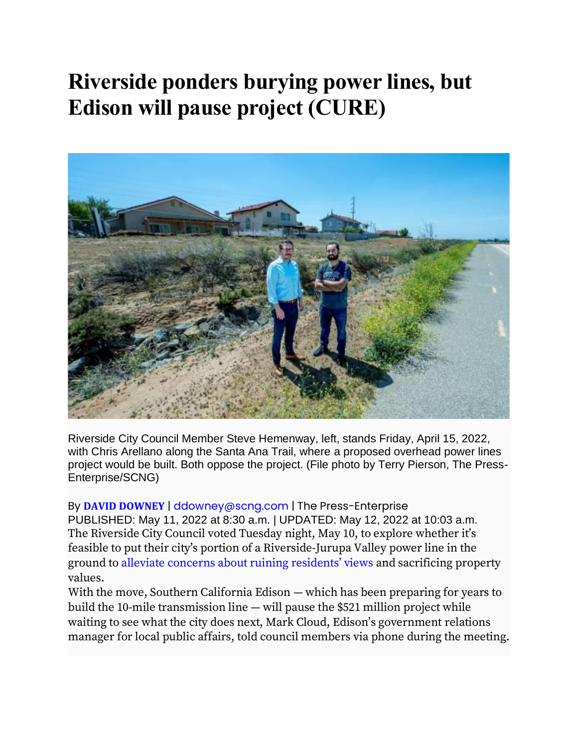## **Riverside ponders burying power lines, but Edison will pause project (CURE)**



Riverside City Council Member Steve Hemenway, left, stands Friday, April 15, 2022, with Chris Arellano along the Santa Ana Trail, where a proposed overhead power lines project would be built. Both oppose the project. (File photo by Terry Pierson, The Press-Enterprise/SCNG)

By **DAVID [DOWNEY](https://www.pe.com/author/david-downey/)** | [ddowney@scng.com](mailto:ddowney@scng.com) | The Press-Enterprise PUBLISHED: May 11, 2022 at 8:30 a.m. | UPDATED: May 12, 2022 at 10:03 a.m. The Riverside City Council voted Tuesday night, May 10, to explore whether it's feasible to put their city's portion of a Riverside-Jurupa Valley power line in the ground to alleviate concerns about ruining [residents'](https://www.pe.com/2022/04/18/riverside-power-line-project-should-go-underground-official-and-residents-say/) views and sacrificing property values.

With the move, Southern California Edison — which has been preparing for years to build the 10-mile transmission line — will pause the \$521 million project while waiting to see what the city does next, Mark Cloud, Edison's government relations manager for local public affairs, told council members via phone during the meeting.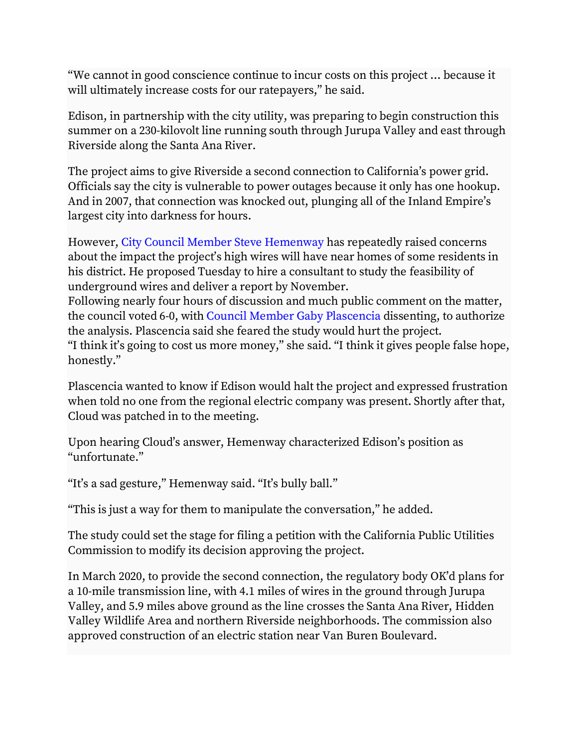"We cannot in good conscience continue to incur costs on this project … because it will ultimately increase costs for our ratepayers," he said.

Edison, in partnership with the city utility, was preparing to begin construction this summer on a 230-kilovolt line running south through Jurupa Valley and east through Riverside along the Santa Ana River.

The project aims to give Riverside a second connection to California's power grid. Officials say the city is vulnerable to power outages because it only has one hookup. And in 2007, that connection was knocked out, plunging all of the Inland Empire's largest city into darkness for hours.

However, City Council Member Steve [Hemenway](https://riversideca.gov/council/wards/ward-7) has repeatedly raised concerns about the impact the project's high wires will have near homes of some residents in his district. He proposed Tuesday to hire a consultant to study the feasibility of underground wires and deliver a report by November.

Following nearly four hours of discussion and much public comment on the matter, the council voted 6-0, with Council Member Gaby [Plascencia](https://riversideca.gov/council/wards/ward-5) dissenting, to authorize the analysis. Plascencia said she feared the study would hurt the project. "I think it's going to cost us more money," she said. "I think it gives people false hope, honestly."

Plascencia wanted to know if Edison would halt the project and expressed frustration when told no one from the regional electric company was present. Shortly after that, Cloud was patched in to the meeting.

Upon hearing Cloud's answer, Hemenway characterized Edison's position as "unfortunate."

"It's a sad gesture," Hemenway said. "It's bully ball."

"This is just a way for them to manipulate the conversation," he added.

The study could set the stage for filing a petition with the California Public Utilities Commission to modify its decision approving the project.

In March 2020, to provide the second connection, the regulatory body OK'd plans for a 10-mile transmission line, with 4.1 miles of wires in the ground through Jurupa Valley, and 5.9 miles above ground as the line crosses the Santa Ana River, Hidden Valley Wildlife Area and northern Riverside neighborhoods. The commission also approved construction of an electric station near Van Buren Boulevard.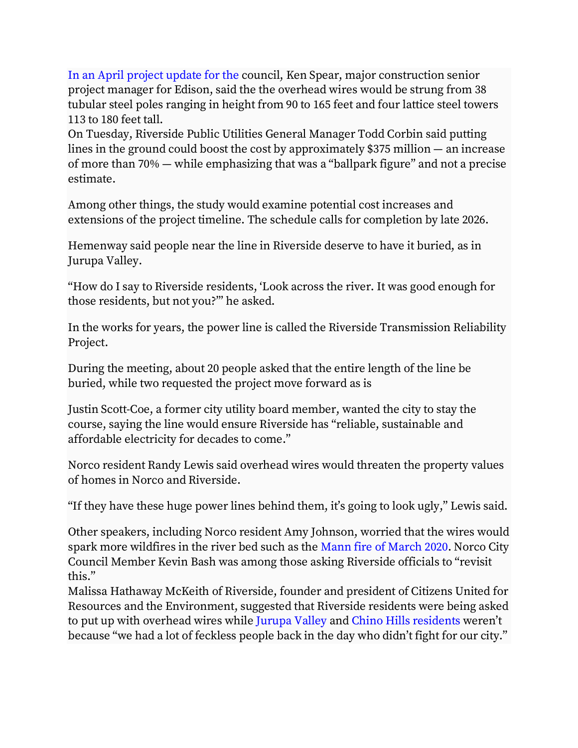In an April [project](https://www.pe.com/2022/04/18/riverside-power-line-project-should-go-underground-official-and-residents-say/) update for the council, Ken Spear, major construction senior project manager for Edison, said the the overhead wires would be strung from 38 tubular steel poles ranging in height from 90 to 165 feet and four lattice steel towers 113 to 180 feet tall.

On Tuesday, Riverside Public Utilities General Manager Todd Corbin said putting lines in the ground could boost the cost by approximately \$375 million — an increase of more than 70% — while emphasizing that was a "ballpark figure" and not a precise estimate.

Among other things, the study would examine potential cost increases and extensions of the project timeline. The schedule calls for completion by late 2026.

Hemenway said people near the line in Riverside deserve to have it buried, as in Jurupa Valley.

"How do I say to Riverside residents, 'Look across the river. It was good enough for those residents, but not you?'" he asked.

In the works for years, the power line is called the Riverside Transmission Reliability Project.

During the meeting, about 20 people asked that the entire length of the line be buried, while two requested the project move forward as is

Justin Scott-Coe, a former city utility board member, wanted the city to stay the course, saying the line would ensure Riverside has "reliable, sustainable and affordable electricity for decades to come."

Norco resident Randy Lewis said overhead wires would threaten the property values of homes in Norco and Riverside.

"If they have these huge power lines behind them, it's going to look ugly," Lewis said.

Other speakers, including Norco resident Amy Johnson, worried that the wires would spark more wildfires in the river bed such as the Mann fire of [March](https://www.pe.com/2020/03/03/mandatory-evacuations-ordered-for-santa-ana-river-bottom-fire-in-norco/) 2020. Norco City Council Member Kevin Bash was among those asking Riverside officials to "revisit this."

Malissa Hathaway McKeith of Riverside, founder and president of Citizens United for Resources and the Environment, suggested that Riverside residents were being asked to put up with overhead wires while [Jurupa](https://www.pe.com/2020/03/12/riversides-power-line-project-to-prevent-outages-okd-with-lines-underground/) Valley and Chino Hills [residents](https://www.dailybulletin.com/2016/10/30/edison-about-to-flip-the-switch-on-controversial-power-line-project-through-chino-hills/) weren't because "we had a lot of feckless people back in the day who didn't fight for our city."